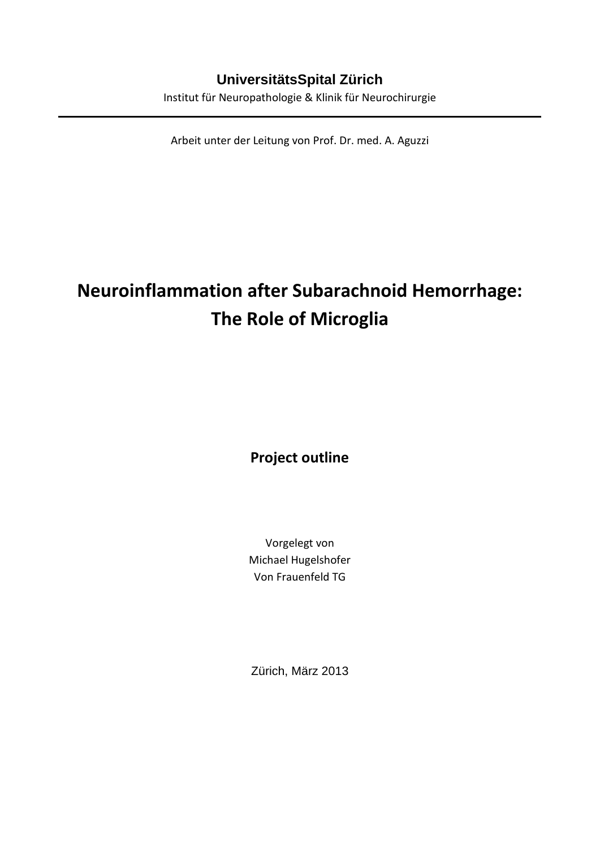## **UniversitätsSpital Zürich**

Institut für Neuropathologie & Klinik für Neurochirurgie

Arbeit unter der Leitung von Prof. Dr. med. A. Aguzzi

# **Neuroinflammation after Subarachnoid Hemorrhage: The Role of Microglia**

**Project outline**

Vorgelegt von Michael Hugelshofer Von Frauenfeld TG

Zürich, März 2013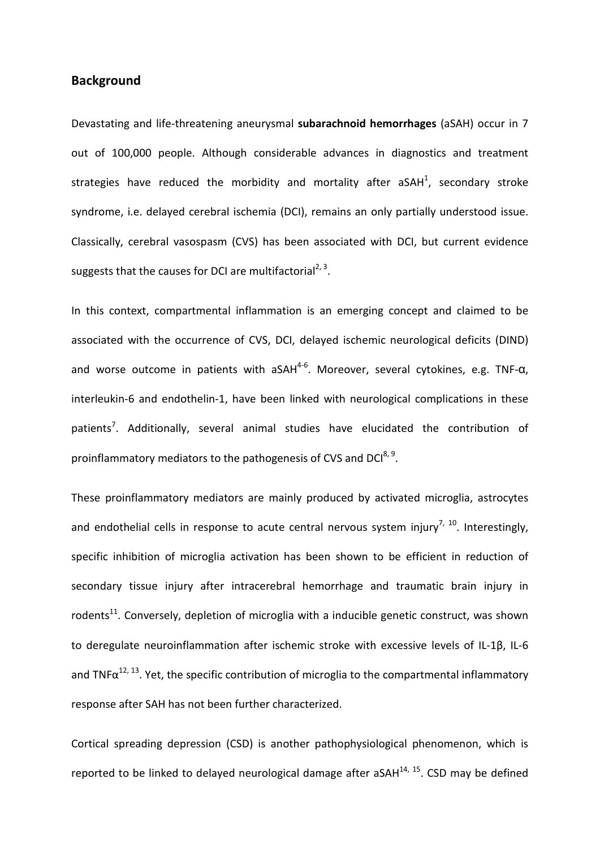## **Background**

Devastating and life-threatening aneurysmal **subarachnoid hemorrhages** (aSAH) occur in 7 out of 100,000 people. Although considerable advances in diagnostics and treatment strategies have reduced the morbidity and mortality after aSAH<sup>1</sup>, secondary stroke syndrome, i.e. delayed cerebral ischemia (DCI), remains an only partially understood issue. Classically, cerebral vasospasm (CVS) has been associated with DCI, but current evidence suggests that the causes for DCI are multifactorial<sup>2, [3](#page-15-2)</sup>.

In this context, compartmental inflammation is an emerging concept and claimed to be associated with the occurrence of CVS, DCI, delayed ischemic neurological deficits (DIND) and worse outcome in patients with aSAH<sup>4-6</sup>. Moreover, several cytokines, e.g. TNF- $\alpha$ , interleukin-6 and endothelin-1, have been linked with neurological complications in these patients<sup>7</sup>. Additionally, several animal studies have elucidated the contribution of proinflammatory mediators to the pathogenesis of CVS and DCI<sup>8, [9](#page-15-6)</sup>.

These proinflammatory mediators are mainly produced by activated microglia, astrocytes and endothelial cells in response to acute central nervous system injury<sup>7, 10</sup>. Interestingly, specific inhibition of microglia activation has been shown to be efficient in reduction of secondary tissue injury after intracerebral hemorrhage and traumatic brain injury in rodents<sup>11</sup>. Conversely, depletion of microglia with a inducible genetic construct, was shown to deregulate neuroinflammation after ischemic stroke with excessive levels of IL-1β, IL-6 and TNF $\alpha^{12, 13}$  $\alpha^{12, 13}$  $\alpha^{12, 13}$ . Yet, the specific contribution of microglia to the compartmental inflammatory response after SAH has not been further characterized.

Cortical spreading depression (CSD) is another pathophysiological phenomenon, which is reported to be linked to delayed neurological damage after aSAH $^{14}$ , [15.](#page-15-12) CSD may be defined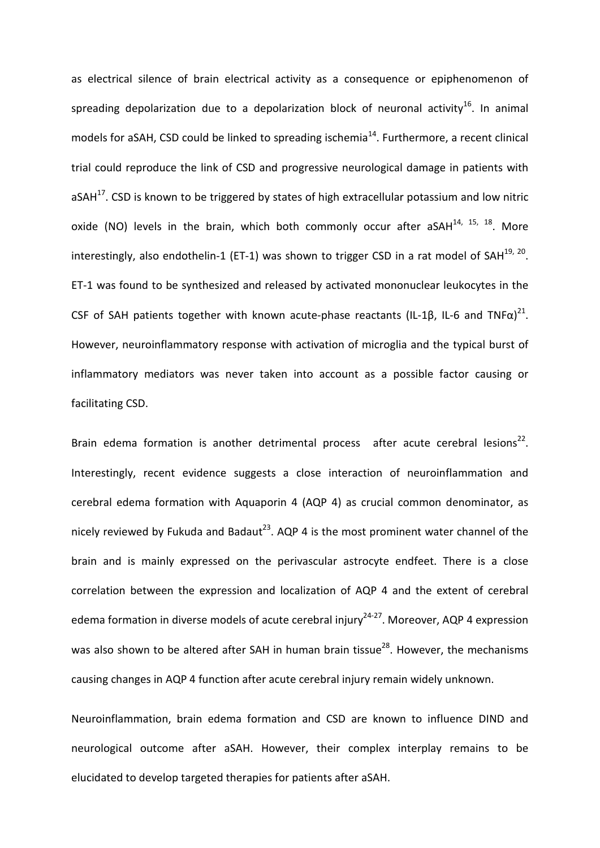as electrical silence of brain electrical activity as a consequence or epiphenomenon of spreading depolarization due to a depolarization block of neuronal activity<sup>16</sup>. In animal models for aSAH, CSD could be linked to spreading ischemia<sup>14</sup>. Furthermore, a recent clinical trial could reproduce the link of CSD and progressive neurological damage in patients with aSAH $^{17}$ . CSD is known to be triggered by states of high extracellular potassium and low nitric oxide (NO) levels in the brain, which both commonly occur after aSAH $^{14}$ ,  $^{15}$ ,  $^{18}$ . More interestingly, also endothelin-1 (ET-1) was shown to trigger CSD in a rat model of SAH $^{19, 20}$ . ET-1 was found to be synthesized and released by activated mononuclear leukocytes in the CSF of SAH patients together with known acute-phase reactants (IL-1 $\beta$ , IL-6 and TNF $\alpha$ )<sup>21</sup>. However, neuroinflammatory response with activation of microglia and the typical burst of inflammatory mediators was never taken into account as a possible factor causing or facilitating CSD.

Brain edema formation is another detrimental process after acute cerebral lesions<sup>22</sup>. Interestingly, recent evidence suggests a close interaction of neuroinflammation and cerebral edema formation with Aquaporin 4 (AQP 4) as crucial common denominator, as nicely reviewed by Fukuda and Badaut<sup>23</sup>. AQP 4 is the most prominent water channel of the brain and is mainly expressed on the perivascular astrocyte endfeet. There is a close correlation between the expression and localization of AQP 4 and the extent of cerebral edema formation in diverse models of acute cerebral injury<sup>24-27</sup>. Moreover, AQP 4 expression was also shown to be altered after SAH in human brain tissue<sup>28</sup>. However, the mechanisms causing changes in AQP 4 function after acute cerebral injury remain widely unknown.

Neuroinflammation, brain edema formation and CSD are known to influence DIND and neurological outcome after aSAH. However, their complex interplay remains to be elucidated to develop targeted therapies for patients after aSAH.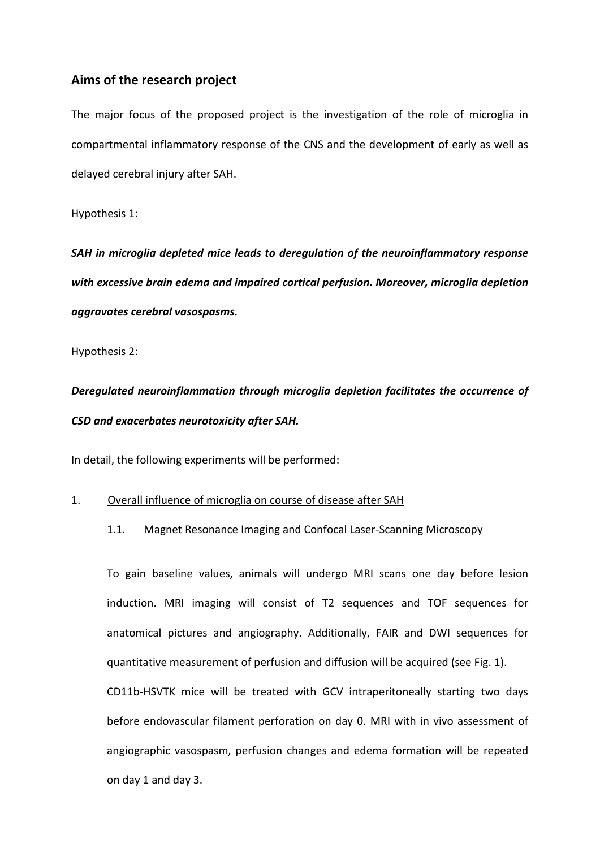## **Aims of the research project**

The major focus of the proposed project is the investigation of the role of microglia in compartmental inflammatory response of the CNS and the development of early as well as delayed cerebral injury after SAH.

Hypothesis 1:

*SAH in microglia depleted mice leads to deregulation of the neuroinflammatory response with excessive brain edema and impaired cortical perfusion. Moreover, microglia depletion aggravates cerebral vasospasms.*

Hypothesis 2:

*Deregulated neuroinflammation through microglia depletion facilitates the occurrence of CSD and exacerbates neurotoxicity after SAH.*

In detail, the following experiments will be performed:

#### 1. Overall influence of microglia on course of disease after SAH

### 1.1. Magnet Resonance Imaging and Confocal Laser-Scanning Microscopy

To gain baseline values, animals will undergo MRI scans one day before lesion induction. MRI imaging will consist of T2 sequences and TOF sequences for anatomical pictures and angiography. Additionally, FAIR and DWI sequences for quantitative measurement of perfusion and diffusion will be acquired (see Fig. 1). CD11b-HSVTK mice will be treated with GCV intraperitoneally starting two days before endovascular filament perforation on day 0. MRI with in vivo assessment of angiographic vasospasm, perfusion changes and edema formation will be repeated on day 1 and day 3.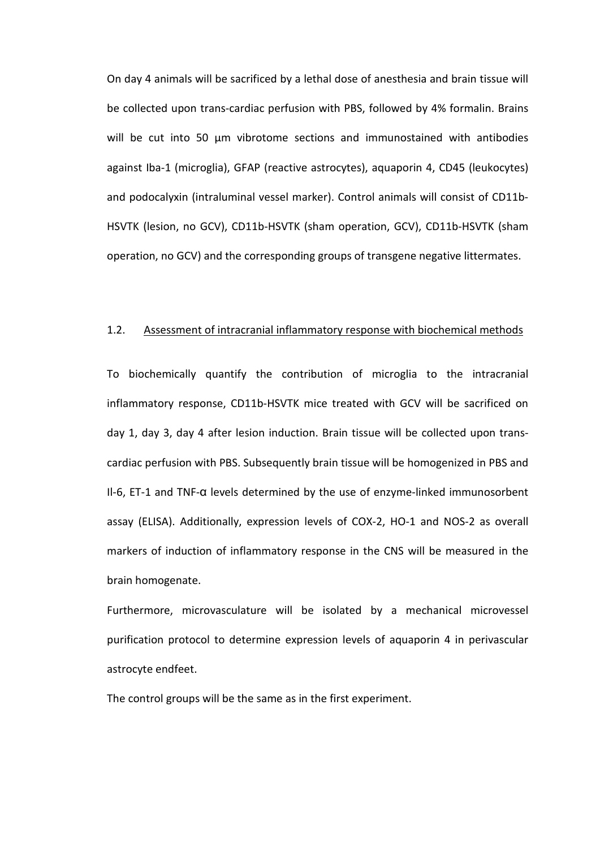On day 4 animals will be sacrificed by a lethal dose of anesthesia and brain tissue will be collected upon trans-cardiac perfusion with PBS, followed by 4% formalin. Brains will be cut into 50 um vibrotome sections and immunostained with antibodies against Iba-1 (microglia), GFAP (reactive astrocytes), aquaporin 4, CD45 (leukocytes) and podocalyxin (intraluminal vessel marker). Control animals will consist of CD11b-HSVTK (lesion, no GCV), CD11b-HSVTK (sham operation, GCV), CD11b-HSVTK (sham operation, no GCV) and the corresponding groups of transgene negative littermates.

#### 1.2. Assessment of intracranial inflammatory response with biochemical methods

To biochemically quantify the contribution of microglia to the intracranial inflammatory response, CD11b-HSVTK mice treated with GCV will be sacrificed on day 1, day 3, day 4 after lesion induction. Brain tissue will be collected upon transcardiac perfusion with PBS. Subsequently brain tissue will be homogenized in PBS and Il-6, ET-1 and TNF-α levels determined by the use of enzyme-linked immunosorbent assay (ELISA). Additionally, expression levels of COX-2, HO-1 and NOS-2 as overall markers of induction of inflammatory response in the CNS will be measured in the brain homogenate.

Furthermore, microvasculature will be isolated by a mechanical microvessel purification protocol to determine expression levels of aquaporin 4 in perivascular astrocyte endfeet.

The control groups will be the same as in the first experiment.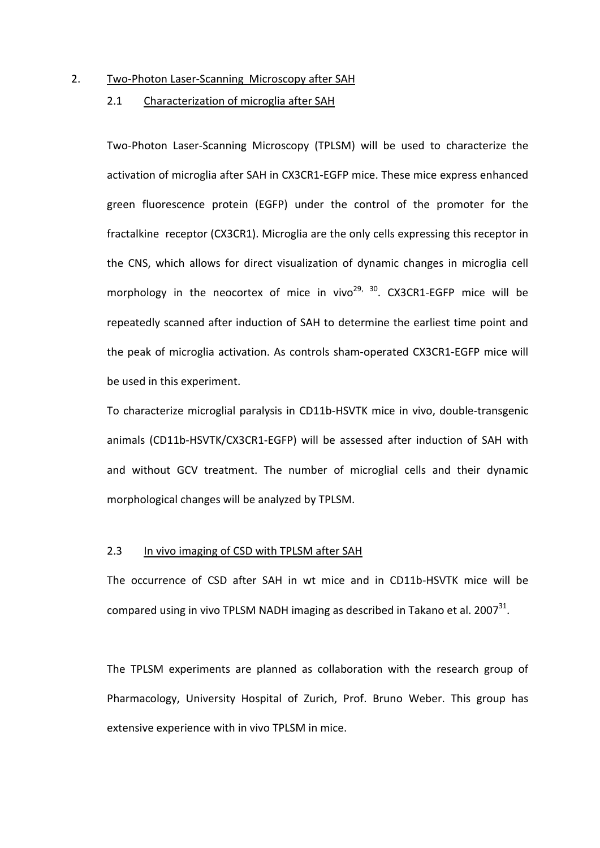#### 2. Two-Photon Laser-Scanning Microscopy after SAH

#### 2.1 Characterization of microglia after SAH

Two-Photon Laser-Scanning Microscopy (TPLSM) will be used to characterize the activation of microglia after SAH in CX3CR1-EGFP mice. These mice express enhanced green fluorescence protein (EGFP) under the control of the promoter for the fractalkine receptor (CX3CR1). Microglia are the only cells expressing this receptor in the CNS, which allows for direct visualization of dynamic changes in microglia cell morphology in the neocortex of mice in vivo<sup>[29,](#page-16-7) 30</sup>. CX3CR1-EGFP mice will be repeatedly scanned after induction of SAH to determine the earliest time point and the peak of microglia activation. As controls sham-operated CX3CR1-EGFP mice will be used in this experiment.

To characterize microglial paralysis in CD11b-HSVTK mice in vivo, double-transgenic animals (CD11b-HSVTK/CX3CR1-EGFP) will be assessed after induction of SAH with and without GCV treatment. The number of microglial cells and their dynamic morphological changes will be analyzed by TPLSM.

#### 2.3 In vivo imaging of CSD with TPLSM after SAH

The occurrence of CSD after SAH in wt mice and in CD11b-HSVTK mice will be compared using in vivo TPLSM NADH imaging as described in Takano et al.  $2007^{31}$ .

The TPLSM experiments are planned as collaboration with the research group of Pharmacology, University Hospital of Zurich, Prof. Bruno Weber. This group has extensive experience with in vivo TPLSM in mice.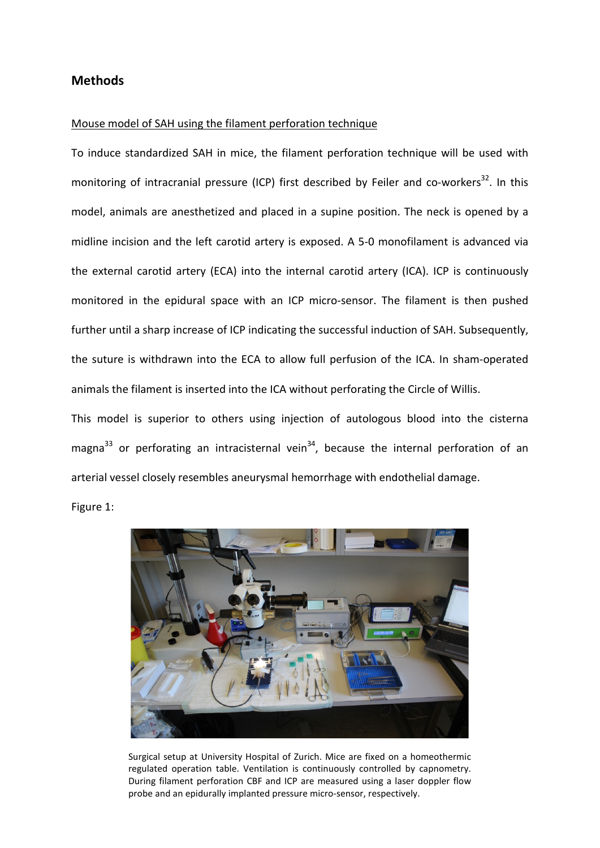## **Methods**

#### Mouse model of SAH using the filament perforation technique

To induce standardized SAH in mice, the filament perforation technique will be used with monitoring of intracranial pressure (ICP) first described by Feiler and co-workers<sup>32</sup>. In this model, animals are anesthetized and placed in a supine position. The neck is opened by a midline incision and the left carotid artery is exposed. A 5-0 monofilament is advanced via the external carotid artery (ECA) into the internal carotid artery (ICA). ICP is continuously monitored in the epidural space with an ICP micro-sensor. The filament is then pushed further until a sharp increase of ICP indicating the successful induction of SAH. Subsequently, the suture is withdrawn into the ECA to allow full perfusion of the ICA. In sham-operated animals the filament is inserted into the ICA without perforating the Circle of Willis.

This model is superior to others using injection of autologous blood into the cisterna magna<sup>[33](#page-16-11)</sup> or perforating an intracisternal vein<sup>34</sup>, because the internal perforation of an arterial vessel closely resembles aneurysmal hemorrhage with endothelial damage.

Figure 1:



Surgical setup at University Hospital of Zurich. Mice are fixed on a homeothermic regulated operation table. Ventilation is continuously controlled by capnometry. During filament perforation CBF and ICP are measured using a laser doppler flow probe and an epidurally implanted pressure micro-sensor, respectively.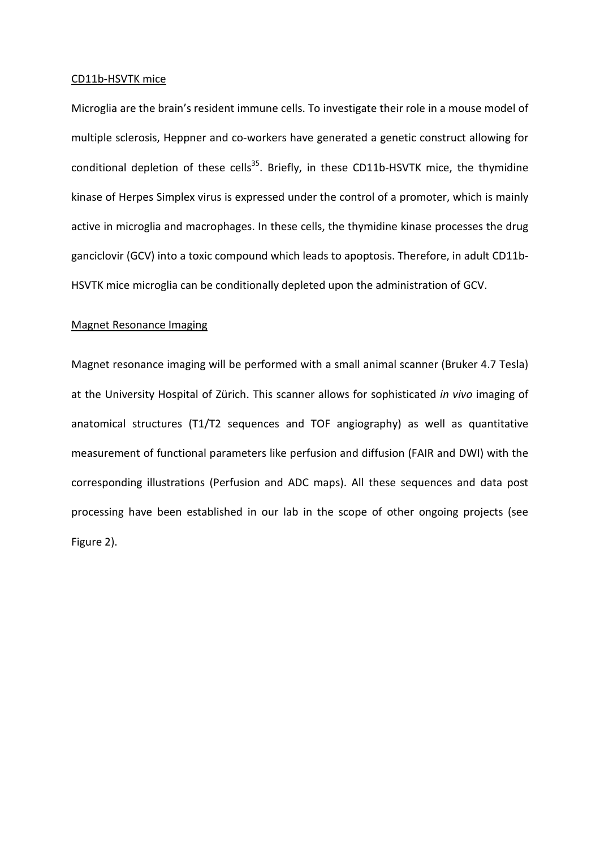#### CD11b-HSVTK mice

Microglia are the brain's resident immune cells. To investigate their role in a mouse model of multiple sclerosis, Heppner and co-workers have generated a genetic construct allowing for conditional depletion of these cells<sup>35</sup>. Briefly, in these CD11b-HSVTK mice, the thymidine kinase of Herpes Simplex virus is expressed under the control of a promoter, which is mainly active in microglia and macrophages. In these cells, the thymidine kinase processes the drug ganciclovir (GCV) into a toxic compound which leads to apoptosis. Therefore, in adult CD11b-HSVTK mice microglia can be conditionally depleted upon the administration of GCV.

#### Magnet Resonance Imaging

Magnet resonance imaging will be performed with a small animal scanner (Bruker 4.7 Tesla) at the University Hospital of Zürich. This scanner allows for sophisticated *in vivo* imaging of anatomical structures (T1/T2 sequences and TOF angiography) as well as quantitative measurement of functional parameters like perfusion and diffusion (FAIR and DWI) with the corresponding illustrations (Perfusion and ADC maps). All these sequences and data post processing have been established in our lab in the scope of other ongoing projects (see Figure 2).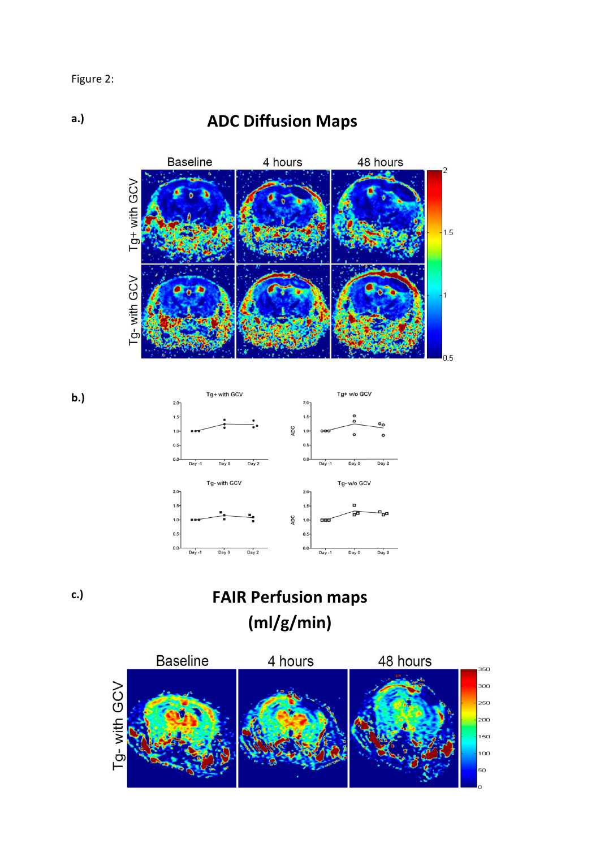**a.)**

## **ADC Diffusion Maps**





**c.)**

**b.)**

# **FAIR Perfusion maps (ml/g/min)**

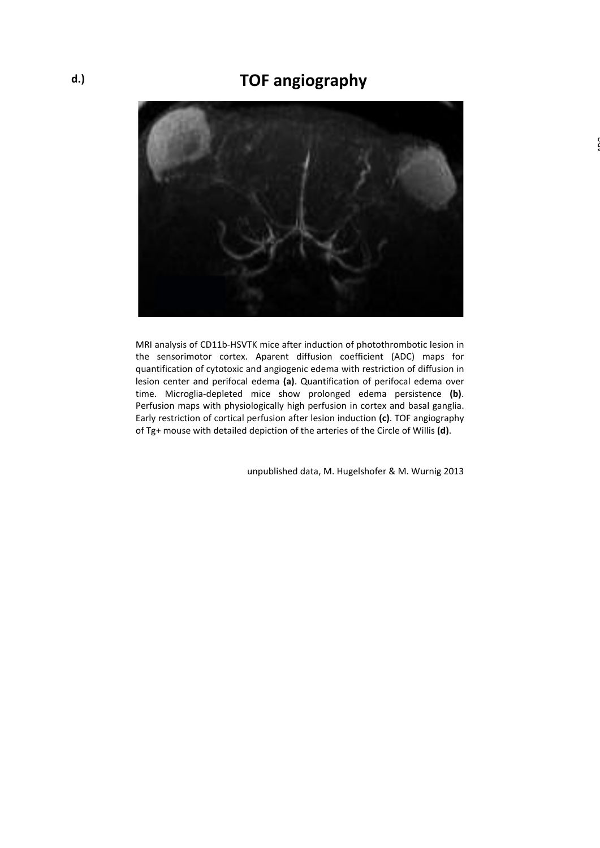## **TOF angiography**



MRI analysis of CD11b-HSVTK mice after induction of photothrombotic lesion in the sensorimotor cortex. Aparent diffusion coefficient (ADC) maps for quantification of cytotoxic and angiogenic edema with restriction of diffusion in lesion center and perifocal edema **(a)**. Quantification of perifocal edema over time. Microglia-depleted mice show prolonged edema persistence **(b)**. Perfusion maps with physiologically high perfusion in cortex and basal ganglia. Early restriction of cortical perfusion after lesion induction **(c)**. TOF angiography of Tg+ mouse with detailed depiction of the arteries of the Circle of Willis **(d)**.

unpublished data, M. Hugelshofer & M. Wurnig 2013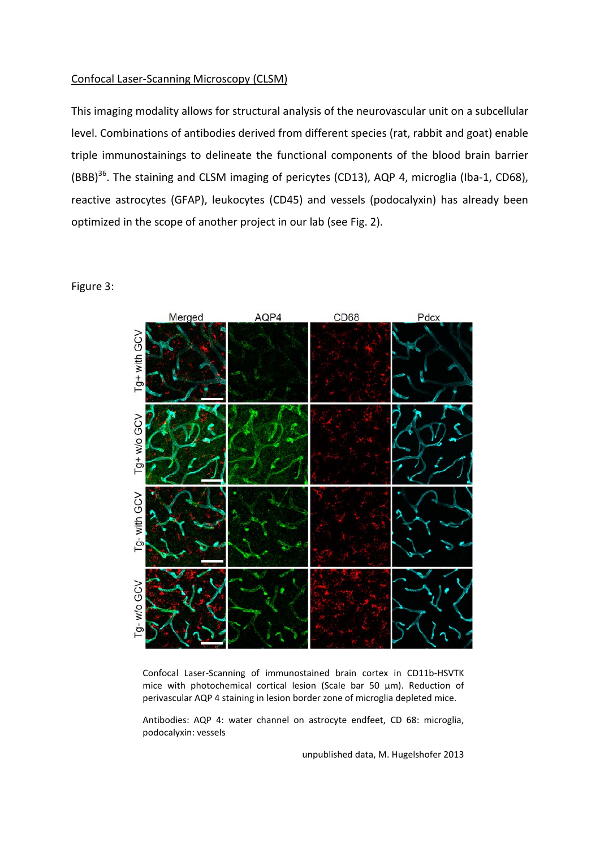#### Confocal Laser-Scanning Microscopy (CLSM)

This imaging modality allows for structural analysis of the neurovascular unit on a subcellular level. Combinations of antibodies derived from different species (rat, rabbit and goat) enable triple immunostainings to delineate the functional components of the blood brain barrier (BBB)<sup>36</sup>. The staining and CLSM imaging of pericytes (CD13), AQP 4, microglia (Iba-1, CD68), reactive astrocytes (GFAP), leukocytes (CD45) and vessels (podocalyxin) has already been optimized in the scope of another project in our lab (see Fig. 2).

### Figure 3:



Confocal Laser-Scanning of immunostained brain cortex in CD11b-HSVTK mice with photochemical cortical lesion (Scale bar 50 µm). Reduction of perivascular AQP 4 staining in lesion border zone of microglia depleted mice.

Antibodies: AQP 4: water channel on astrocyte endfeet, CD 68: microglia, podocalyxin: vessels

unpublished data, M. Hugelshofer 2013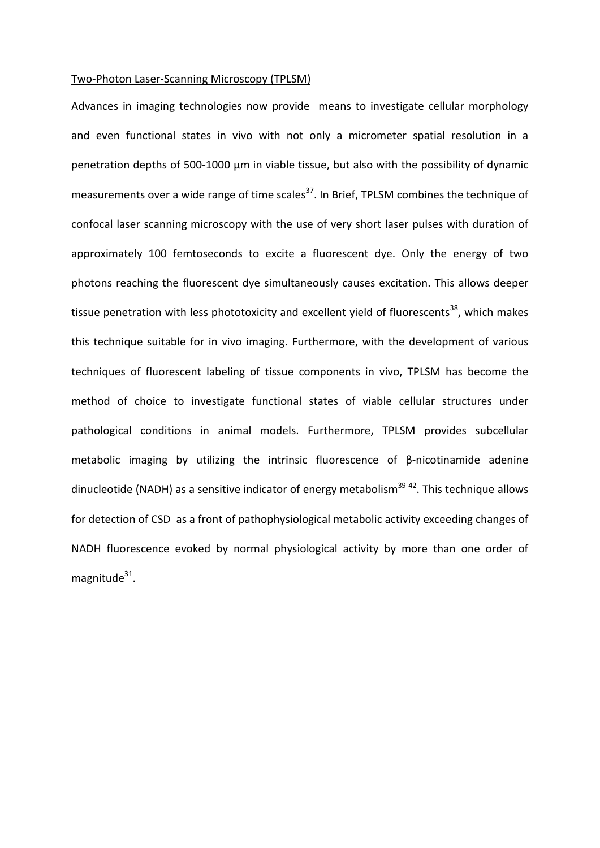#### Two-Photon Laser-Scanning Microscopy (TPLSM)

Advances in imaging technologies now provide means to investigate cellular morphology and even functional states in vivo with not only a micrometer spatial resolution in a penetration depths of 500-1000 µm in viable tissue, but also with the possibility of dynamic measurements over a wide range of time scales $^{37}$ . In Brief, TPLSM combines the technique of confocal laser scanning microscopy with the use of very short laser pulses with duration of approximately 100 femtoseconds to excite a fluorescent dye. Only the energy of two photons reaching the fluorescent dye simultaneously causes excitation. This allows deeper tissue penetration with less phototoxicity and excellent yield of fluorescents<sup>38</sup>, which makes this technique suitable for in vivo imaging. Furthermore, with the development of various techniques of fluorescent labeling of tissue components in vivo, TPLSM has become the method of choice to investigate functional states of viable cellular structures under pathological conditions in animal models. Furthermore, TPLSM provides subcellular metabolic imaging by utilizing the intrinsic fluorescence of β-nicotinamide adenine dinucleotide (NADH) as a sensitive indicator of energy metabolism<sup>39-42</sup>. This technique allows for detection of CSD as a front of pathophysiological metabolic activity exceeding changes of NADH fluorescence evoked by normal physiological activity by more than one order of magnitude $31$ .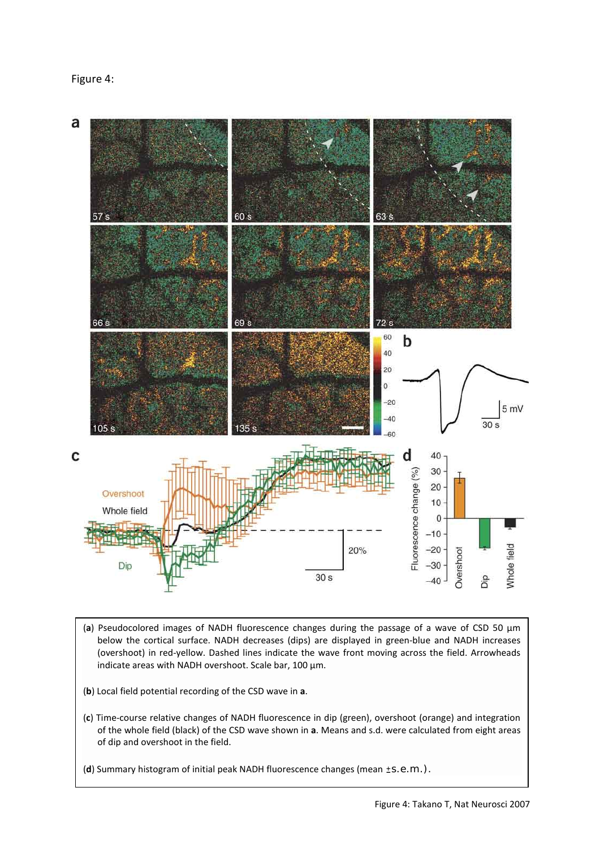

- (**a**) Pseudocolored images of NADH fluorescence changes during the passage of a wave of CSD 50 µm below the cortical surface. NADH decreases (dips) are displayed in green-blue and NADH increases (overshoot) in red-yellow. Dashed lines indicate the wave front moving across the field. Arrowheads indicate areas with NADH overshoot. Scale bar, 100 µm.
- (**b**) Local field potential recording of the CSD wave in **a**.
- (**c**) Time-course relative changes of NADH fluorescence in dip (green), overshoot (orange) and integration of the whole field (black) of the CSD wave shown in **a**. Means and s.d. were calculated from eight areas of dip and overshoot in the field.
- (d) Summary histogram of initial peak NADH fluorescence changes (mean ±S.e.m.).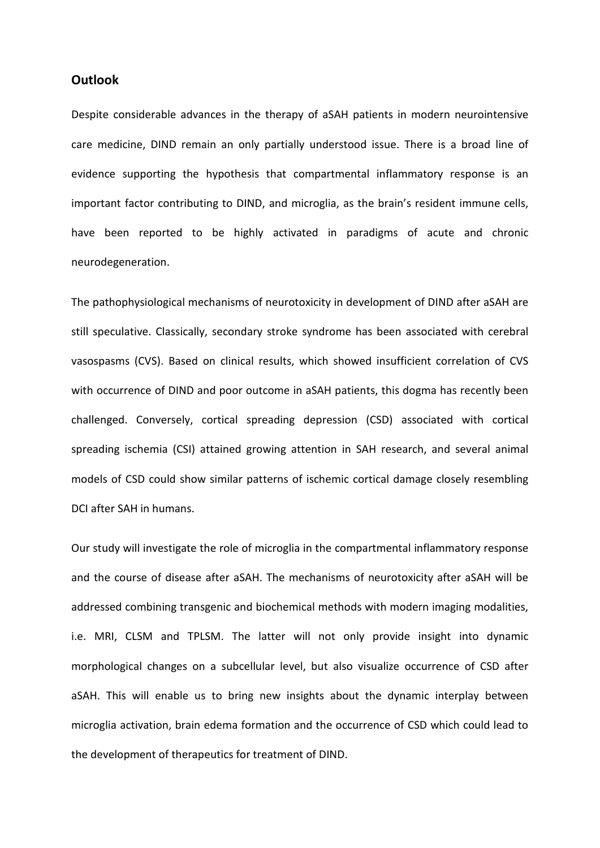### **Outlook**

Despite considerable advances in the therapy of aSAH patients in modern neurointensive care medicine, DIND remain an only partially understood issue. There is a broad line of evidence supporting the hypothesis that compartmental inflammatory response is an important factor contributing to DIND, and microglia, as the brain's resident immune cells, have been reported to be highly activated in paradigms of acute and chronic neurodegeneration.

The pathophysiological mechanisms of neurotoxicity in development of DIND after aSAH are still speculative. Classically, secondary stroke syndrome has been associated with cerebral vasospasms (CVS). Based on clinical results, which showed insufficient correlation of CVS with occurrence of DIND and poor outcome in aSAH patients, this dogma has recently been challenged. Conversely, cortical spreading depression (CSD) associated with cortical spreading ischemia (CSI) attained growing attention in SAH research, and several animal models of CSD could show similar patterns of ischemic cortical damage closely resembling DCI after SAH in humans.

Our study will investigate the role of microglia in the compartmental inflammatory response and the course of disease after aSAH. The mechanisms of neurotoxicity after aSAH will be addressed combining transgenic and biochemical methods with modern imaging modalities, i.e. MRI, CLSM and TPLSM. The latter will not only provide insight into dynamic morphological changes on a subcellular level, but also visualize occurrence of CSD after aSAH. This will enable us to bring new insights about the dynamic interplay between microglia activation, brain edema formation and the occurrence of CSD which could lead to the development of therapeutics for treatment of DIND.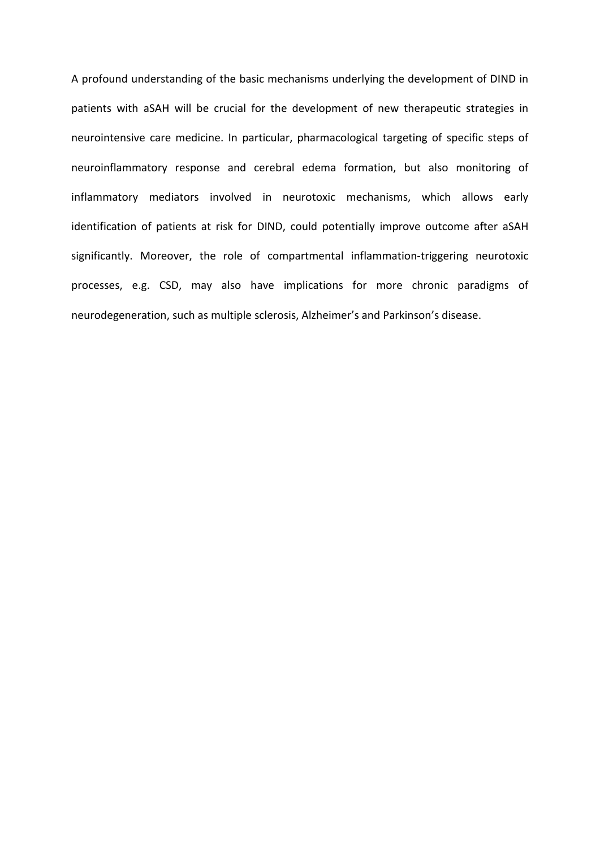A profound understanding of the basic mechanisms underlying the development of DIND in patients with aSAH will be crucial for the development of new therapeutic strategies in neurointensive care medicine. In particular, pharmacological targeting of specific steps of neuroinflammatory response and cerebral edema formation, but also monitoring of inflammatory mediators involved in neurotoxic mechanisms, which allows early identification of patients at risk for DIND, could potentially improve outcome after aSAH significantly. Moreover, the role of compartmental inflammation-triggering neurotoxic processes, e.g. CSD, may also have implications for more chronic paradigms of neurodegeneration, such as multiple sclerosis, Alzheimer's and Parkinson's disease.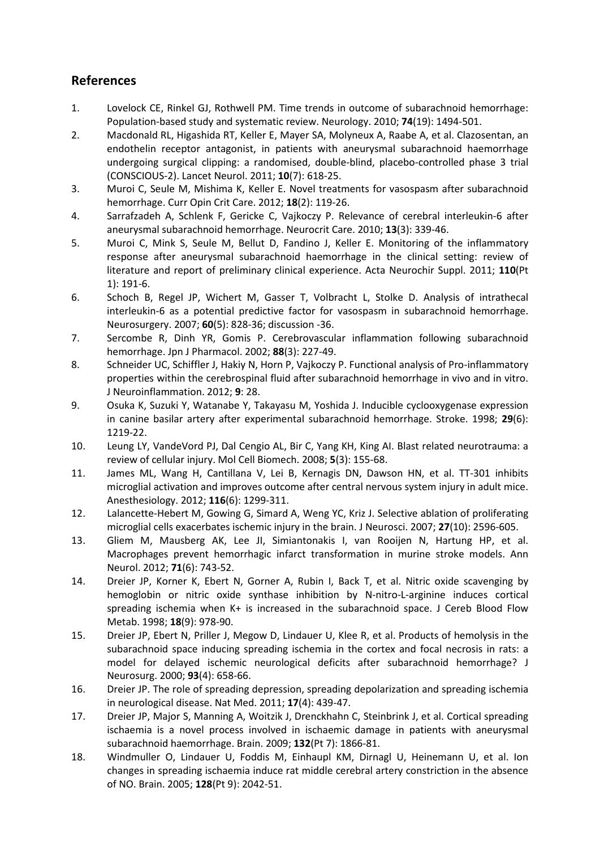## **References**

- <span id="page-15-0"></span>1. Lovelock CE, Rinkel GJ, Rothwell PM. Time trends in outcome of subarachnoid hemorrhage: Population-based study and systematic review. Neurology. 2010; **74**(19): 1494-501.
- <span id="page-15-1"></span>2. Macdonald RL, Higashida RT, Keller E, Mayer SA, Molyneux A, Raabe A, et al. Clazosentan, an endothelin receptor antagonist, in patients with aneurysmal subarachnoid haemorrhage undergoing surgical clipping: a randomised, double-blind, placebo-controlled phase 3 trial (CONSCIOUS-2). Lancet Neurol. 2011; **10**(7): 618-25.
- <span id="page-15-2"></span>3. Muroi C, Seule M, Mishima K, Keller E. Novel treatments for vasospasm after subarachnoid hemorrhage. Curr Opin Crit Care. 2012; **18**(2): 119-26.
- <span id="page-15-3"></span>4. Sarrafzadeh A, Schlenk F, Gericke C, Vajkoczy P. Relevance of cerebral interleukin-6 after aneurysmal subarachnoid hemorrhage. Neurocrit Care. 2010; **13**(3): 339-46.
- 5. Muroi C, Mink S, Seule M, Bellut D, Fandino J, Keller E. Monitoring of the inflammatory response after aneurysmal subarachnoid haemorrhage in the clinical setting: review of literature and report of preliminary clinical experience. Acta Neurochir Suppl. 2011; **110**(Pt 1): 191-6.
- 6. Schoch B, Regel JP, Wichert M, Gasser T, Volbracht L, Stolke D. Analysis of intrathecal interleukin-6 as a potential predictive factor for vasospasm in subarachnoid hemorrhage. Neurosurgery. 2007; **60**(5): 828-36; discussion -36.
- <span id="page-15-4"></span>7. Sercombe R, Dinh YR, Gomis P. Cerebrovascular inflammation following subarachnoid hemorrhage. Jpn J Pharmacol. 2002; **88**(3): 227-49.
- <span id="page-15-5"></span>8. Schneider UC, Schiffler J, Hakiy N, Horn P, Vajkoczy P. Functional analysis of Pro-inflammatory properties within the cerebrospinal fluid after subarachnoid hemorrhage in vivo and in vitro. J Neuroinflammation. 2012; **9**: 28.
- <span id="page-15-6"></span>9. Osuka K, Suzuki Y, Watanabe Y, Takayasu M, Yoshida J. Inducible cyclooxygenase expression in canine basilar artery after experimental subarachnoid hemorrhage. Stroke. 1998; **29**(6): 1219-22.
- <span id="page-15-7"></span>10. Leung LY, VandeVord PJ, Dal Cengio AL, Bir C, Yang KH, King AI. Blast related neurotrauma: a review of cellular injury. Mol Cell Biomech. 2008; **5**(3): 155-68.
- <span id="page-15-8"></span>11. James ML, Wang H, Cantillana V, Lei B, Kernagis DN, Dawson HN, et al. TT-301 inhibits microglial activation and improves outcome after central nervous system injury in adult mice. Anesthesiology. 2012; **116**(6): 1299-311.
- <span id="page-15-9"></span>12. Lalancette-Hebert M, Gowing G, Simard A, Weng YC, Kriz J. Selective ablation of proliferating microglial cells exacerbates ischemic injury in the brain. J Neurosci. 2007; **27**(10): 2596-605.
- <span id="page-15-10"></span>13. Gliem M, Mausberg AK, Lee JI, Simiantonakis I, van Rooijen N, Hartung HP, et al. Macrophages prevent hemorrhagic infarct transformation in murine stroke models. Ann Neurol. 2012; **71**(6): 743-52.
- <span id="page-15-11"></span>14. Dreier JP, Korner K, Ebert N, Gorner A, Rubin I, Back T, et al. Nitric oxide scavenging by hemoglobin or nitric oxide synthase inhibition by N-nitro-L-arginine induces cortical spreading ischemia when K+ is increased in the subarachnoid space. J Cereb Blood Flow Metab. 1998; **18**(9): 978-90.
- <span id="page-15-12"></span>15. Dreier JP, Ebert N, Priller J, Megow D, Lindauer U, Klee R, et al. Products of hemolysis in the subarachnoid space inducing spreading ischemia in the cortex and focal necrosis in rats: a model for delayed ischemic neurological deficits after subarachnoid hemorrhage? J Neurosurg. 2000; **93**(4): 658-66.
- <span id="page-15-13"></span>16. Dreier JP. The role of spreading depression, spreading depolarization and spreading ischemia in neurological disease. Nat Med. 2011; **17**(4): 439-47.
- <span id="page-15-14"></span>17. Dreier JP, Major S, Manning A, Woitzik J, Drenckhahn C, Steinbrink J, et al. Cortical spreading ischaemia is a novel process involved in ischaemic damage in patients with aneurysmal subarachnoid haemorrhage. Brain. 2009; **132**(Pt 7): 1866-81.
- <span id="page-15-15"></span>18. Windmuller O, Lindauer U, Foddis M, Einhaupl KM, Dirnagl U, Heinemann U, et al. Ion changes in spreading ischaemia induce rat middle cerebral artery constriction in the absence of NO. Brain. 2005; **128**(Pt 9): 2042-51.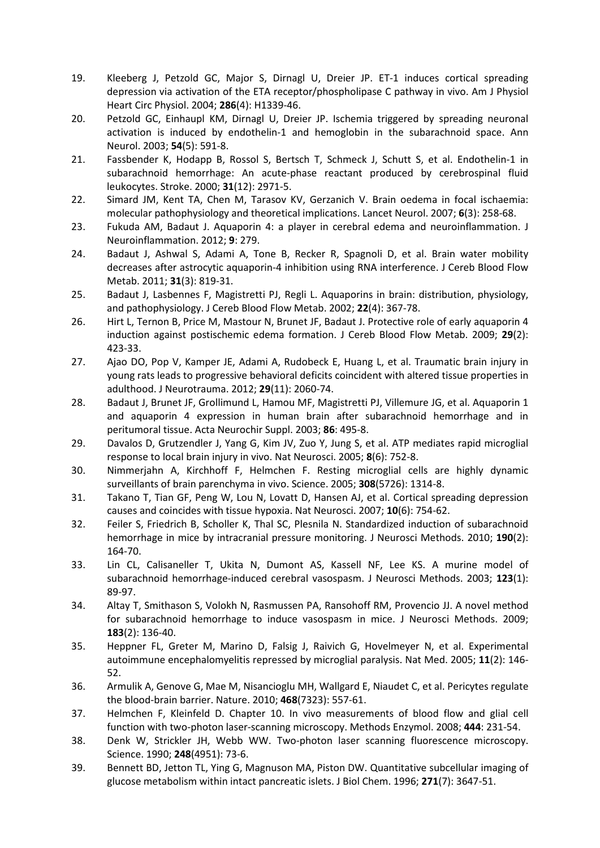- <span id="page-16-0"></span>19. Kleeberg J, Petzold GC, Major S, Dirnagl U, Dreier JP. ET-1 induces cortical spreading depression via activation of the ETA receptor/phospholipase C pathway in vivo. Am J Physiol Heart Circ Physiol. 2004; **286**(4): H1339-46.
- <span id="page-16-1"></span>20. Petzold GC, Einhaupl KM, Dirnagl U, Dreier JP. Ischemia triggered by spreading neuronal activation is induced by endothelin-1 and hemoglobin in the subarachnoid space. Ann Neurol. 2003; **54**(5): 591-8.
- <span id="page-16-2"></span>21. Fassbender K, Hodapp B, Rossol S, Bertsch T, Schmeck J, Schutt S, et al. Endothelin-1 in subarachnoid hemorrhage: An acute-phase reactant produced by cerebrospinal fluid leukocytes. Stroke. 2000; **31**(12): 2971-5.
- <span id="page-16-3"></span>22. Simard JM, Kent TA, Chen M, Tarasov KV, Gerzanich V. Brain oedema in focal ischaemia: molecular pathophysiology and theoretical implications. Lancet Neurol. 2007; **6**(3): 258-68.
- <span id="page-16-4"></span>23. Fukuda AM, Badaut J. Aquaporin 4: a player in cerebral edema and neuroinflammation. J Neuroinflammation. 2012; **9**: 279.
- <span id="page-16-5"></span>24. Badaut J, Ashwal S, Adami A, Tone B, Recker R, Spagnoli D, et al. Brain water mobility decreases after astrocytic aquaporin-4 inhibition using RNA interference. J Cereb Blood Flow Metab. 2011; **31**(3): 819-31.
- 25. Badaut J, Lasbennes F, Magistretti PJ, Regli L. Aquaporins in brain: distribution, physiology, and pathophysiology. J Cereb Blood Flow Metab. 2002; **22**(4): 367-78.
- 26. Hirt L, Ternon B, Price M, Mastour N, Brunet JF, Badaut J. Protective role of early aquaporin 4 induction against postischemic edema formation. J Cereb Blood Flow Metab. 2009; **29**(2): 423-33.
- 27. Ajao DO, Pop V, Kamper JE, Adami A, Rudobeck E, Huang L, et al. Traumatic brain injury in young rats leads to progressive behavioral deficits coincident with altered tissue properties in adulthood. J Neurotrauma. 2012; **29**(11): 2060-74.
- <span id="page-16-6"></span>28. Badaut J, Brunet JF, Grollimund L, Hamou MF, Magistretti PJ, Villemure JG, et al. Aquaporin 1 and aquaporin 4 expression in human brain after subarachnoid hemorrhage and in peritumoral tissue. Acta Neurochir Suppl. 2003; **86**: 495-8.
- <span id="page-16-7"></span>29. Davalos D, Grutzendler J, Yang G, Kim JV, Zuo Y, Jung S, et al. ATP mediates rapid microglial response to local brain injury in vivo. Nat Neurosci. 2005; **8**(6): 752-8.
- <span id="page-16-8"></span>30. Nimmerjahn A, Kirchhoff F, Helmchen F. Resting microglial cells are highly dynamic surveillants of brain parenchyma in vivo. Science. 2005; **308**(5726): 1314-8.
- <span id="page-16-9"></span>31. Takano T, Tian GF, Peng W, Lou N, Lovatt D, Hansen AJ, et al. Cortical spreading depression causes and coincides with tissue hypoxia. Nat Neurosci. 2007; **10**(6): 754-62.
- <span id="page-16-10"></span>32. Feiler S, Friedrich B, Scholler K, Thal SC, Plesnila N. Standardized induction of subarachnoid hemorrhage in mice by intracranial pressure monitoring. J Neurosci Methods. 2010; **190**(2): 164-70.
- <span id="page-16-11"></span>33. Lin CL, Calisaneller T, Ukita N, Dumont AS, Kassell NF, Lee KS. A murine model of subarachnoid hemorrhage-induced cerebral vasospasm. J Neurosci Methods. 2003; **123**(1): 89-97.
- <span id="page-16-12"></span>34. Altay T, Smithason S, Volokh N, Rasmussen PA, Ransohoff RM, Provencio JJ. A novel method for subarachnoid hemorrhage to induce vasospasm in mice. J Neurosci Methods. 2009; **183**(2): 136-40.
- <span id="page-16-13"></span>35. Heppner FL, Greter M, Marino D, Falsig J, Raivich G, Hovelmeyer N, et al. Experimental autoimmune encephalomyelitis repressed by microglial paralysis. Nat Med. 2005; **11**(2): 146- 52.
- <span id="page-16-14"></span>36. Armulik A, Genove G, Mae M, Nisancioglu MH, Wallgard E, Niaudet C, et al. Pericytes regulate the blood-brain barrier. Nature. 2010; **468**(7323): 557-61.
- <span id="page-16-15"></span>37. Helmchen F, Kleinfeld D. Chapter 10. In vivo measurements of blood flow and glial cell function with two-photon laser-scanning microscopy. Methods Enzymol. 2008; **444**: 231-54.
- <span id="page-16-16"></span>38. Denk W, Strickler JH, Webb WW. Two-photon laser scanning fluorescence microscopy. Science. 1990; **248**(4951): 73-6.
- <span id="page-16-17"></span>39. Bennett BD, Jetton TL, Ying G, Magnuson MA, Piston DW. Quantitative subcellular imaging of glucose metabolism within intact pancreatic islets. J Biol Chem. 1996; **271**(7): 3647-51.